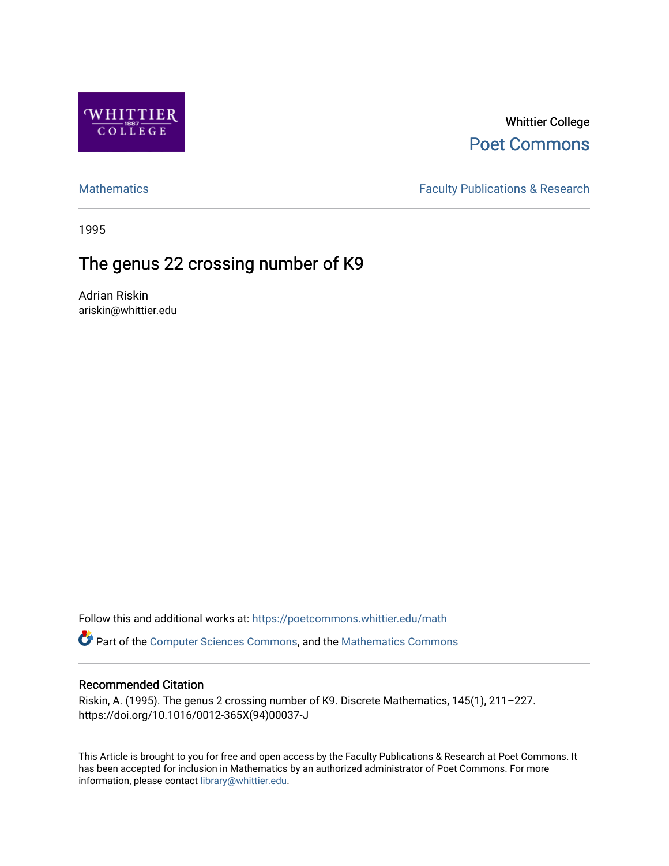

## Whittier College [Poet Commons](https://poetcommons.whittier.edu/)

[Mathematics](https://poetcommons.whittier.edu/math) **Faculty Publications & Research** 

1995

# The genus 22 crossing number of K9

Adrian Riskin ariskin@whittier.edu

Follow this and additional works at: [https://poetcommons.whittier.edu/math](https://poetcommons.whittier.edu/math?utm_source=poetcommons.whittier.edu%2Fmath%2F3&utm_medium=PDF&utm_campaign=PDFCoverPages)

Part of the [Computer Sciences Commons](http://network.bepress.com/hgg/discipline/142?utm_source=poetcommons.whittier.edu%2Fmath%2F3&utm_medium=PDF&utm_campaign=PDFCoverPages), and the [Mathematics Commons](http://network.bepress.com/hgg/discipline/174?utm_source=poetcommons.whittier.edu%2Fmath%2F3&utm_medium=PDF&utm_campaign=PDFCoverPages) 

### Recommended Citation

Riskin, A. (1995). The genus 2 crossing number of K9. Discrete Mathematics, 145(1), 211–227. https://doi.org/10.1016/0012-365X(94)00037-J

This Article is brought to you for free and open access by the Faculty Publications & Research at Poet Commons. It has been accepted for inclusion in Mathematics by an authorized administrator of Poet Commons. For more information, please contact [library@whittier.edu.](mailto:library@whittier.edu)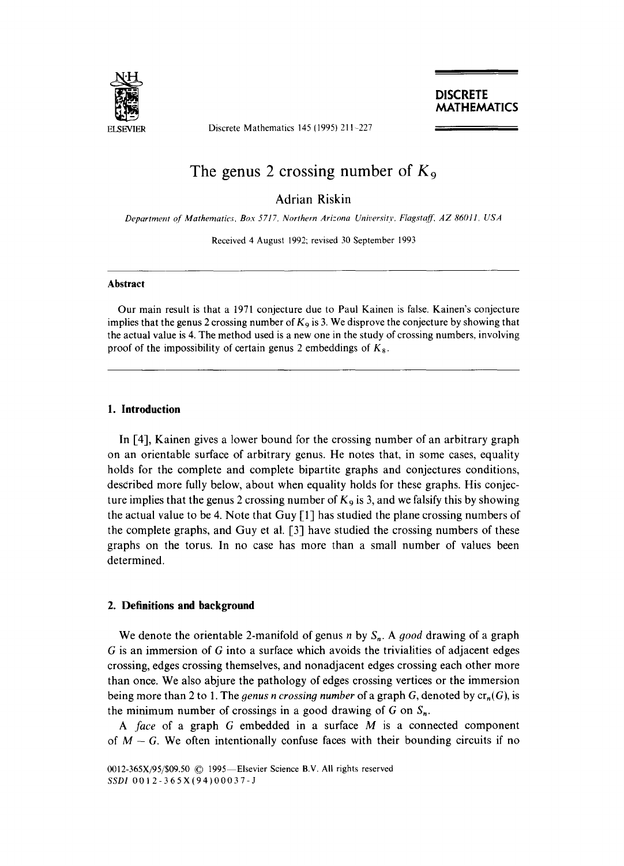

Discrete Mathematics 145 (1995) 211-227

### The genus 2 crossing number of  $K_9$

Adrian Riskin

*Department 0[" Mathematics, Box 5717, Northern Arizona University, Flagstqff~ AZ 86011, USA* 

Received 4 August 1992; revised 30 September 1993

#### **Abstract**

Our main result is that a 1971 conjecture due to Paul Kainen is false. Kainen's conjecture implies that the genus 2 crossing number of  $K<sub>9</sub>$  is 3. We disprove the conjecture by showing that the actual value is 4. The method used is a new one in the study of crossing numbers, involving proof of the impossibility of certain genus 2 embeddings of  $K_8$ .

#### **1. Introduction**

In [4], Kainen gives a lower bound for the crossing number of an arbitrary graph on an orientable surface of arbitrary genus. He notes that, in some cases, equality holds for the complete and complete bipartite graphs and conjectures conditions, described more fully below, about when equality holds for these graphs. His conjecture implies that the genus 2 crossing number of  $K_9$  is 3, and we falsify this by showing the actual value to be 4. Note that Guy [1] has studied the plane crossing numbers of the complete graphs, and Guy et al. [3] have studied the crossing numbers of these graphs on the torus. In no case has more than a small number of values been determined.

#### **2. Definitions and background**

We denote the orientable 2-manifold of genus  $n$  by  $S_n$ . A good drawing of a graph  $G$  is an immersion of  $G$  into a surface which avoids the trivialities of adjacent edges crossing, edges crossing themselves, and nonadjacent edges crossing each other more than once. We also abjure the pathology of edges crossing vertices or the immersion being more than 2 to 1. The *genus n crossing number* of a graph G, denoted by  $cr_n(G)$ , is the minimum number of crossings in a good drawing of G on  $S_n$ .

*A face* of a graph G embedded in a surface M is a connected component of  $M - G$ . We often intentionally confuse faces with their bounding circuits if no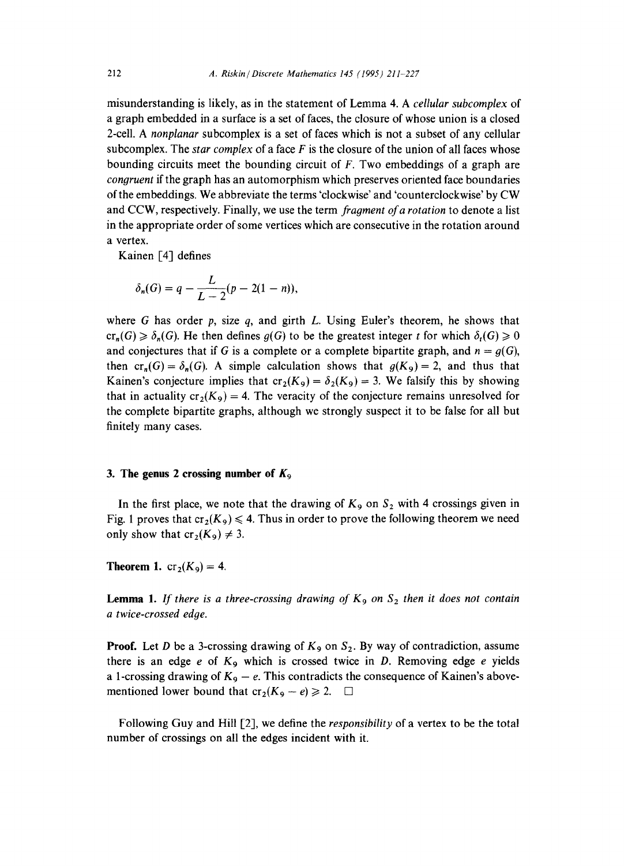misunderstanding is likely, as in the statement of Lemma 4. A *cellular subcomplex* of a graph embedded in a surface is a set of faces, the closure of whose union is a closed 2-cell. A *nonplanar* subcomplex is a set of faces which is not a subset of any cellular subcomplex. The *star complex* of a face F is the closure of the union of all faces whose bounding circuits meet the bounding circuit of  $F$ . Two embeddings of a graph are *congruent* if the graph has an automorphism which preserves oriented face boundaries of the embeddings. We abbreviate the terms 'clockwise' and 'counterclockwise' by CW and CCW, respectively. Finally, we use the term *fragment of a rotation* to denote a list in the appropriate order of some vertices which are consecutive in the rotation around a vertex.

Kainen [4] defines

$$
\delta_n(G) = q - \frac{L}{L-2}(p-2(1-n)),
$$

where G has order p, size q, and girth L. Using Euler's theorem, he shows that  $cr_n(G) \geq \delta_n(G)$ . He then defines  $g(G)$  to be the greatest integer t for which  $\delta_n(G) \geq 0$ and conjectures that if G is a complete or a complete bipartite graph, and  $n = g(G)$ , then  $cr_+(G) = \delta_+(G)$ . A simple calculation shows that  $g(K_0) = 2$ , and thus that Kainen's conjecture implies that  $cr_2(K_9) = \delta_2(K_9) = 3$ . We falsify this by showing that in actuality  $cr_2(K_9) = 4$ . The veracity of the conjecture remains unresolved for the complete bipartite graphs, although we strongly suspect it to be false for all but finitely many cases.

#### **3.** The genus 2 crossing number of  $K_9$

In the first place, we note that the drawing of  $K_9$  on  $S_2$  with 4 crossings given in Fig. 1 proves that  $cr_2(K_9) \leq 4$ . Thus in order to prove the following theorem we need only show that  $cr_2(K_9) \neq 3$ .

**Theorem 1.**  $cr_2(K_9) = 4$ .

**Lemma 1.** If there is a three-crossing drawing of  $K_9$  on  $S_2$  then it does not contain *a twice-crossed edge.* 

**Proof.** Let D be a 3-crossing drawing of  $K_9$  on  $S_2$ . By way of contradiction, assume there is an edge  $e$  of  $K_9$  which is crossed twice in D. Removing edge  $e$  yields a 1-crossing drawing of  $K_9 - e$ . This contradicts the consequence of Kainen's abovementioned lower bound that  $cr_2(K_9 - e) \ge 2.$   $\Box$ 

Following Guy and Hill [2], we define the *responsibility* of a vertex to be the total number of crossings on all the edges incident with it.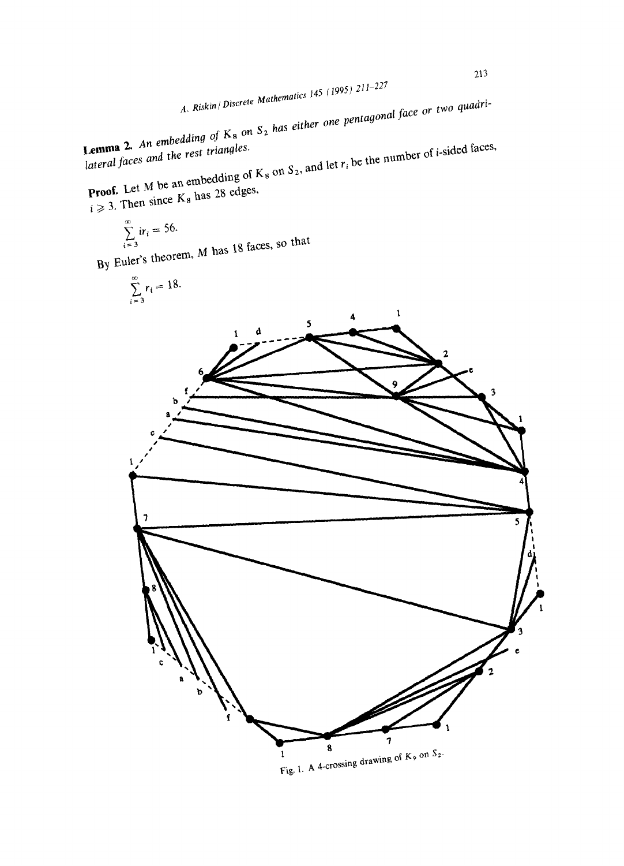*A. Riskin / Discrete Mathematics 145 (t995) 211-227* 

 $\epsilon K$  on  $S_2$  has either one pentagonal *face or*  $\epsilon$ 

*lateral faces and* the *rest triangles.*   $p_{\text{ref}}$  and let  $r_i$  be the number of  $K_c$  on  $S_2$ , and let  $r_i$  be the number of

 $\frac{1}{2}$ . Then since K<sub>8</sub> has 20  $e^{\frac{1}{2}}$ 

$$
\sum_{i=3}^{\infty} ir_i = 56.
$$
  
 *hencem, M has 18 faces, so that*

$$
\sum_{i=3}^{\infty} r_i = 18.
$$

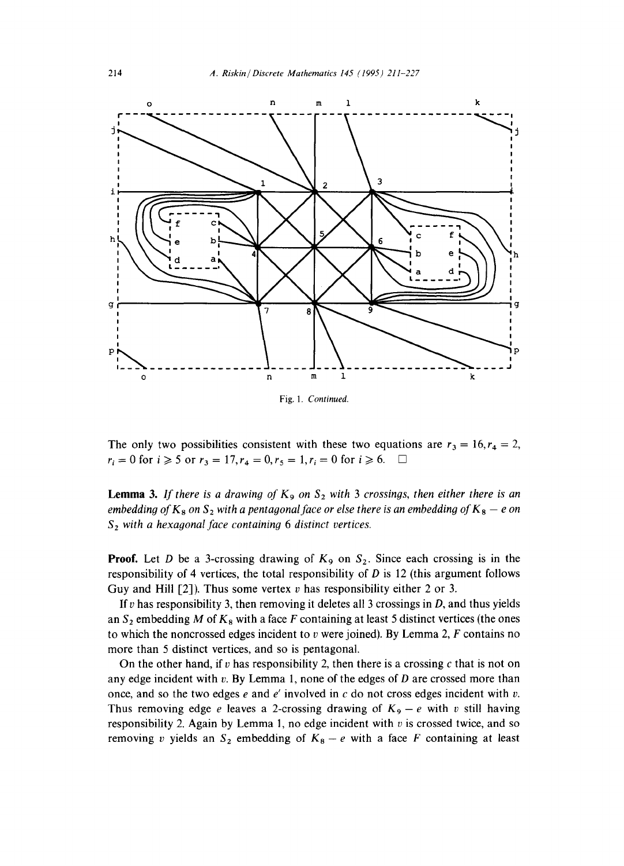

The only two possibilities consistent with these two equations are  $r_3 = 16, r_4 = 2$ ,  $r_i = 0$  for  $i \ge 5$  or  $r_3 = 17, r_4 = 0, r_5 = 1, r_i = 0$  for  $i \ge 6$ .  $\Box$ 

**Lemma 3.** If there is a drawing of  $K_9$  on  $S_2$  with 3 crossings, then either there is an *embedding of*  $K_8$  on  $S_2$  with a pentagonal face or else there is an embedding of  $K_8 - e$  on *\$2 with a hexagonal face containing 6 distinct vertices.* 

**Proof.** Let D be a 3-crossing drawing of  $K_9$  on  $S_2$ . Since each crossing is in the responsibility of 4 vertices, the total responsibility of  $D$  is 12 (this argument follows Guy and Hill  $[2]$ ). Thus some vertex v has responsibility either 2 or 3.

If v has responsibility 3, then removing it deletes all 3 crossings in  $D$ , and thus yields an  $S_2$  embedding M of  $K_8$  with a face F containing at least 5 distinct vertices (the ones to which the noncrossed edges incident to v were joined). By Lemma 2,  $F$  contains no more than 5 distinct vertices, and so is pentagonal.

On the other hand, if v has responsibility 2, then there is a crossing c that is not on any edge incident with  $v$ . By Lemma 1, none of the edges of  $D$  are crossed more than once, and so the two edges  $e$  and  $e'$  involved in  $c$  do not cross edges incident with  $v$ . Thus removing edge e leaves a 2-crossing drawing of  $K_9 - e$  with v still having responsibility 2. Again by Lemma 1, no edge incident with  $v$  is crossed twice, and so removing v yields an  $S_2$  embedding of  $K_8 - e$  with a face F containing at least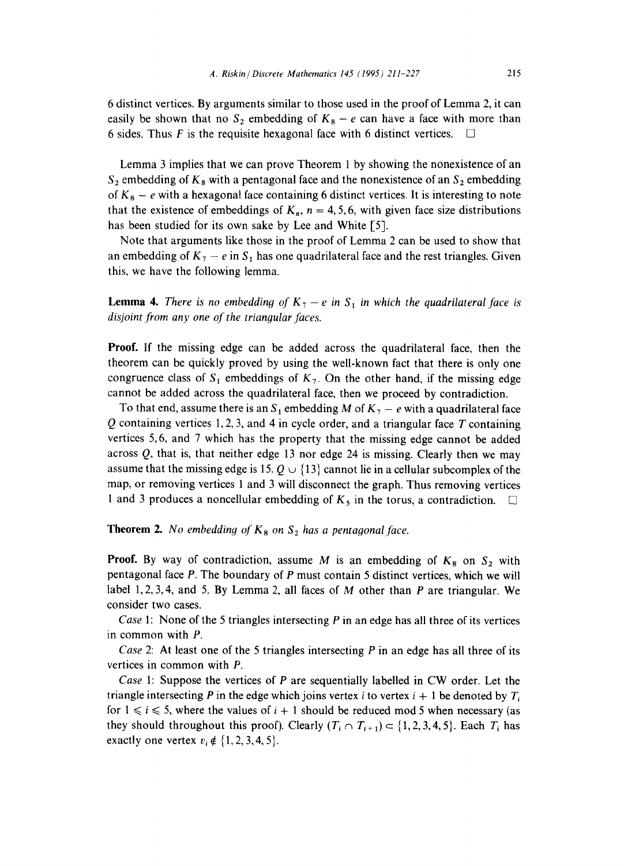6 distinct vertices. By arguments similar to those used in the proof of Lemma 2, it can easily be shown that no  $S_2$  embedding of  $K_8 - e$  can have a face with more than 6 sides. Thus F is the requisite hexagonal face with 6 distinct vertices.  $\Box$ 

Lemma 3 implies that we can prove Theorem 1 by showing the nonexistence of an  $S_2$  embedding of  $K_8$  with a pentagonal face and the nonexistence of an  $S_2$  embedding of  $K_8 - e$  with a hexagonal face containing 6 distinct vertices. It is interesting to note that the existence of embeddings of  $K_n$ ,  $n = 4, 5, 6$ , with given face size distributions has been studied for its own sake by Lee and White [5].

Note that arguments like those in the proof of Lemma 2 can be used to show that an embedding of  $K_7 - e$  in  $S_1$  has one quadrilateral face and the rest triangles. Given this, we have the following lemma.

**Lemma 4.** *There is no embedding of*  $K_7 - e$  *in*  $S_1$  *in which the quadrilateral face is* disjoint from any one of the triangular faces.

**Proof.** If the missing edge can be added across the quadrilateral face, then the theorem can be quickly proved by using the well-known fact that there is only one congruence class of  $S_1$  embeddings of  $K_7$ . On the other hand, if the missing edge cannot be added across the quadrilateral face, then we proceed by contradiction.

To that end, assume there is an  $S_1$  embedding M of  $K_2 - e$  with a quadrilateral face  $Q$  containing vertices 1, 2, 3, and 4 in cycle order, and a triangular face  $T$  containing vertices 5,6, and 7 which has the property that the missing edge cannot be added across  $Q$ , that is, that neither edge 13 nor edge 24 is missing. Clearly then we may assume that the missing edge is 15.  $Q \cup \{13\}$  cannot lie in a cellular subcomplex of the map, or removing vertices 1 and 3 will disconnect the graph. Thus removing vertices 1 and 3 produces a noncellular embedding of  $K_5$  in the torus, a contradiction.  $\Box$ 

**Theorem 2.** *No embedding of*  $K_8$  *on*  $S_2$  *has a pentagonal face.* 

**Proof.** By way of contradiction, assume M is an embedding of  $K_8$  on  $S_2$  with pentagonal face P. The boundary of P must contain 5 distinct vertices, which we will label 1, 2, 3, 4, and 5. By Lemma 2, all faces of  $M$  other than  $P$  are triangular. We consider two cases.

*Case* 1: None of the 5 triangles intersecting P in an edge has all three of its vertices in common with P.

*Case* 2: At least one of the 5 triangles intersecting P in an edge has all three of its vertices in common with P.

*Case* 1: Suppose the vertices of P are sequentially labelled in CW order. Let the triangle intersecting P in the edge which joins vertex i to vertex  $i + 1$  be denoted by  $T_i$ for  $1 \leq i \leq 5$ , where the values of  $i + 1$  should be reduced mod 5 when necessary (as they should throughout this proof). Clearly  $(T_i \cap T_{i+1}) \subset \{1,2,3,4,5\}$ . Each  $T_i$  has exactly one vertex  $v_i \notin \{1, 2, 3, 4, 5\}.$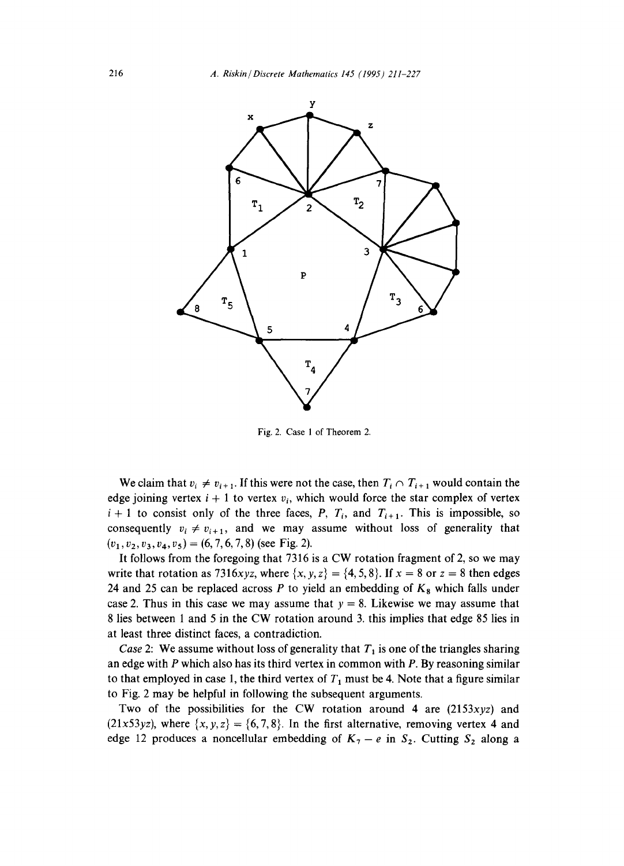

Fig. 2. Case 1 of Theorem 2.

We claim that  $v_i \neq v_{i+1}$ . If this were not the case, then  $T_i \cap T_{i+1}$  would contain the edge joining vertex  $i + 1$  to vertex  $v_i$ , which would force the star complex of vertex  $i+1$  to consist only of the three faces, P,  $T_i$ , and  $T_{i+1}$ . This is impossible, so consequently  $v_i \neq v_{i+1}$ , and we may assume without loss of generality that  $(v_1, v_2, v_3, v_4, v_5) = (6, 7, 6, 7, 8)$  (see Fig. 2).

It follows from the foregoing that 7316 is a CW rotation fragment of 2, so we may write that rotation as 7316xyz, where  $\{x, y, z\} = \{4, 5, 8\}$ . If  $x = 8$  or  $z = 8$  then edges 24 and 25 can be replaced across P to yield an embedding of  $K_8$  which falls under case 2. Thus in this case we may assume that  $y = 8$ . Likewise we may assume that 8 lies between 1 and 5 in the CW rotation around 3. this implies that edge 85 lies in at least three distinct faces, a contradiction.

*Case* 2: We assume without loss of generality that  $T_1$  is one of the triangles sharing an edge with P which also has its third vertex in common with P. By reasoning similar to that employed in case 1, the third vertex of  $T_1$  must be 4. Note that a figure similar to Fig. 2 may be helpful in following the subsequent arguments.

Two of the possibilities for the CW rotation around 4 are *(2153xyz)* and  $(21x53yz)$ , where  $\{x, y, z\} = \{6, 7, 8\}$ . In the first alternative, removing vertex 4 and edge 12 produces a noncellular embedding of  $K_7 - e$  in  $S_2$ . Cutting  $S_2$  along a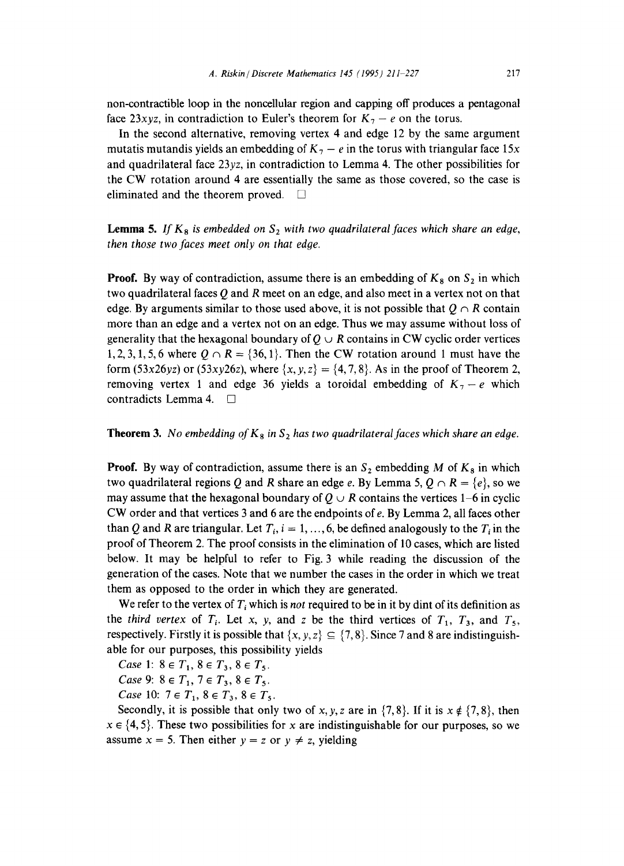non-contractible loop in the noncellular region and capping off produces a pentagonal face 23xyz, in contradiction to Euler's theorem for  $K_7 - e$  on the torus.

In the second alternative, removing vertex 4 and edge 12 by the same argument mutatis mutandis yields an embedding of  $K_7 - e$  in the torus with triangular face 15x and quadrilateral face 23yz, in contradiction to Lemma 4. The other possibilities for the CW rotation around 4 are essentially the same as those covered, so the case is eliminated and the theorem proved.  $\square$ 

**Lemma 5.** If  $K_8$  is embedded on  $S_2$  with two quadrilateral faces which share an edge, *then those two faces meet only on that edge.* 

**Proof.** By way of contradiction, assume there is an embedding of  $K_8$  on  $S_2$  in which two quadrilateral faces  $Q$  and  $R$  meet on an edge, and also meet in a vertex not on that edge. By arguments similar to those used above, it is not possible that  $Q \cap R$  contain more than an edge and a vertex not on an edge. Thus we may assume without loss of generality that the hexagonal boundary of  $Q \cup R$  contains in CW cyclic order vertices 1, 2, 3, 1, 5, 6 where  $Q \cap R = \{36, 1\}$ . Then the CW rotation around 1 must have the form  $(53x26yz)$  or  $(53xy26z)$ , where  $\{x, y, z\} = \{4, 7, 8\}$ . As in the proof of Theorem 2, removing vertex 1 and edge 36 yields a toroidal embedding of  $K_7 - e$  which contradicts Lemma 4. []

#### **Theorem 3.** *No embedding of*  $K_8$  *in*  $S_2$  *has two quadrilateral faces which share an edge.*

**Proof.** By way of contradiction, assume there is an  $S_2$  embedding M of  $K_8$  in which two quadrilateral regions Q and R share an edge e. By Lemma 5,  $Q \cap R = \{e\}$ , so we may assume that the hexagonal boundary of  $Q \cup R$  contains the vertices 1–6 in cyclic CW order and that vertices 3 and 6 are the endpoints of e. By Lemma 2, all faces other than Q and R are triangular. Let  $T_i$ ,  $i = 1, ..., 6$ , be defined analogously to the  $T_i$  in the proof of Theorem 2. The proof consists in the elimination of 10 cases, which are listed below. It may be helpful to refer to Fig. 3 while reading the discussion of the generation of the cases. Note that we number the cases in the order in which we treat them as opposed to the order in which they are generated.

We refer to the vertex of  $T_i$  which is *not* required to be in it by dint of its definition as the *third vertex* of  $T_i$ . Let x, y, and z be the third vertices of  $T_1$ ,  $T_3$ , and  $T_5$ , respectively. Firstly it is possible that  $\{x, y, z\} \subseteq \{7, 8\}$ . Since 7 and 8 are indistinguishable for our purposes, this possibility yields

*Case* 1:  $8 \in T_1$ ,  $8 \in T_3$ ,  $8 \in T_5$ .

*Case* 9:  $8 \in T_1$ ,  $7 \in T_3$ ,  $8 \in T_5$ .

*Case* 10:  $7 \in T_1$ ,  $8 \in T_3$ ,  $8 \in T_5$ .

Secondly, it is possible that only two of x, y, z are in  $\{7, 8\}$ . If it is  $x \notin \{7, 8\}$ , then  $x \in \{4, 5\}$ . These two possibilities for x are indistinguishable for our purposes, so we assume  $x = 5$ . Then either  $y = z$  or  $y \neq z$ , yielding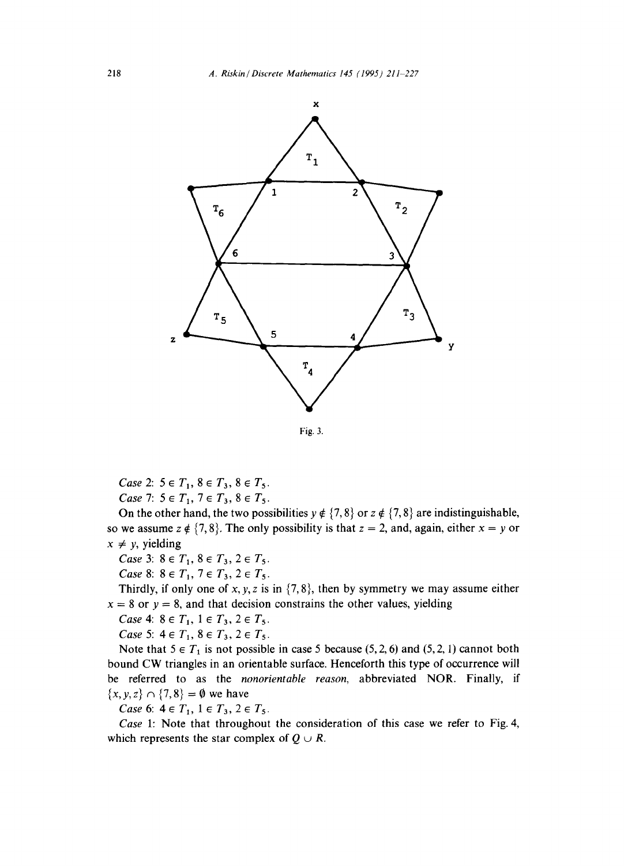

*Case 2:*  $5 \in T_1$ ,  $8 \in T_3$ ,  $8 \in T_5$ . *Case 7:*  $5 \in T_1$ ,  $7 \in T_3$ ,  $8 \in T_5$ .

On the other hand, the two possibilities  $y \notin \{7, 8\}$  or  $z \notin \{7, 8\}$  are indistinguishable, so we assume  $z \notin \{7, 8\}$ . The only possibility is that  $z = 2$ , and, again, either  $x = y$  or  $x \neq y$ , yielding

*Case* 3:  $8 \in T_1$ ,  $8 \in T_3$ ,  $2 \in T_5$ .

*Case* 8:  $8 \in T_1$ ,  $7 \in T_3$ ,  $2 \in T_5$ .

Thirdly, if only one of x, y, z is in  $\{7, 8\}$ , then by symmetry we may assume either  $x = 8$  or  $y = 8$ , and that decision constrains the other values, yielding

*Case* 4:  $8 \in T_1$ ,  $1 \in T_3$ ,  $2 \in T_5$ .

*Case* 5:  $4 \in T_1$ ,  $8 \in T_3$ ,  $2 \in T_5$ .

Note that  $5 \in T_1$  is not possible in case 5 because (5, 2, 6) and (5, 2, 1) cannot both bound CW triangles in an orientable surface. Henceforth this type of occurrence will be referred to as the *nonorientable reason,* abbreviated NOR. Finally, if  $\{x, y, z\} \cap \{7, 8\} = \emptyset$  we have

*Case* 6:  $4 \in T_1$ ,  $1 \in T_3$ ,  $2 \in T_5$ .

*Case* 1: Note that throughout the consideration of this case we refer to Fig. 4, which represents the star complex of  $Q \cup R$ .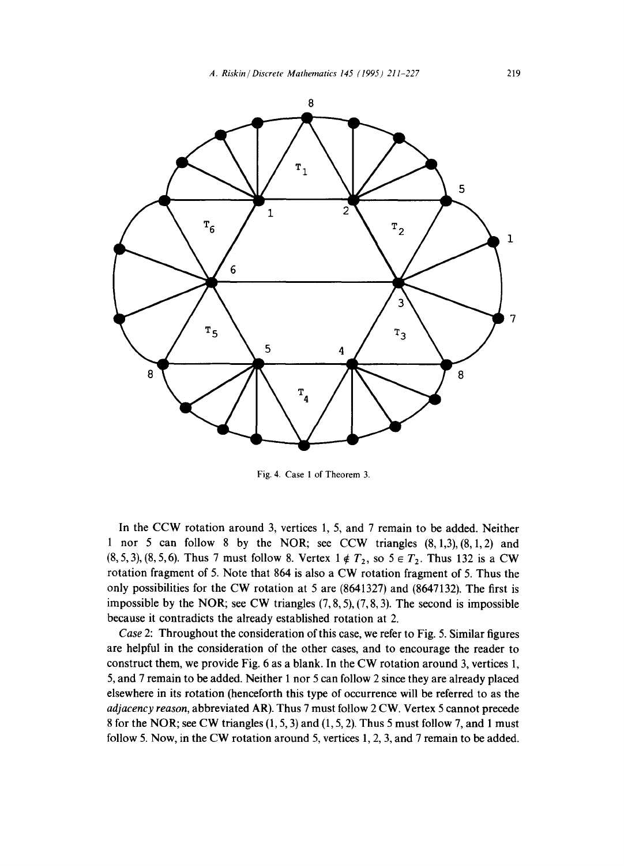

Fig. 4. Case 1 of Theorem 3.

In the CCW rotation around 3, vertices 1, 5, and 7 remain to be added. Neither 1 nor 5 can follow 8 by the NOR; see CCW triangles  $(8, 1, 3)$ ,  $(8, 1, 2)$  and  $(8,5,3)$ ,  $(8,5,6)$ . Thus 7 must follow 8. Vertex  $1 \notin T_2$ , so  $5 \in T_2$ . Thus 132 is a CW rotation fragment of 5. Note that 864 is also a CW rotation fragment of 5. Thus the only possibilities for the CW rotation at 5 are (8641327) and (8647132). The first is impossible by the NOR; see CW triangles  $(7, 8, 5)$ ,  $(7, 8, 3)$ . The second is impossible because it contradicts the already established rotation at 2.

*Case* 2: Throughout the consideration of this case, we refer to Fig. 5. Similar figures are helpful in the consideration of the other cases, and to encourage the reader to construct them, we provide Fig. 6 as a blank. In the CW rotation around 3, vertices 1, 5, and 7 remain to be added. Neither 1 nor 5 can follow 2 since they are already placed elsewhere in its rotation (henceforth this type of occurrence will be referred to as the *adjacency reason,* abbreviated AR). Thus 7 must follow 2 CW. Vertex 5 cannot precede 8 for the NOR; see CW triangles (1, 5, 3) and (1, 5, 2). Thus 5 must follow 7, and 1 must follow 5. Now, in the CW rotation around 5, vertices 1, 2, 3, and 7 remain to be added.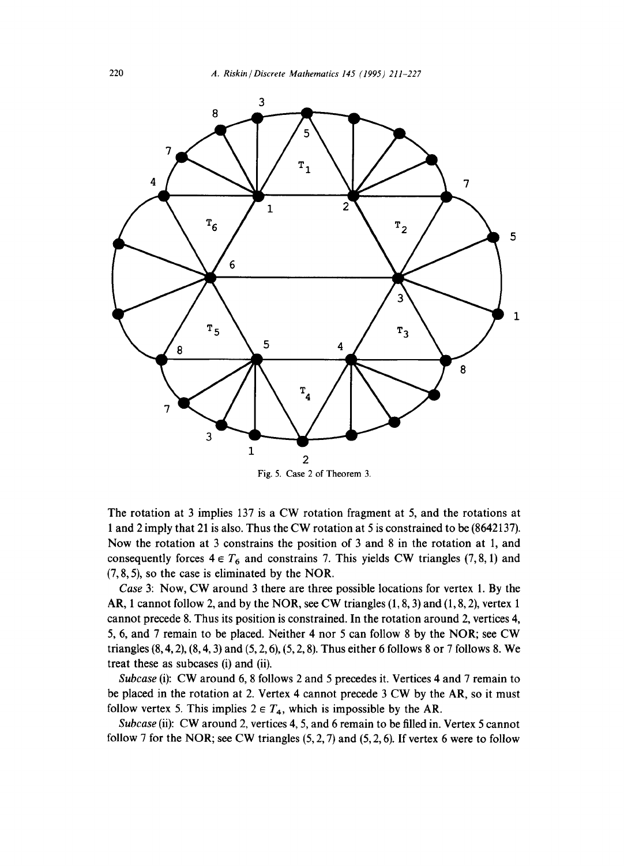

Fig. 5. Case 2 of Theorem 3.

The rotation at 3 implies 137 is a CW rotation fragment at 5, and the rotations at 1 and 2 imply that 21 is also. Thus the CW rotation at 5 is constrained to be (8642137). Now the rotation at 3 constrains the position of 3 and 8 in the rotation at 1, and consequently forces  $4 \in T_6$  and constrains 7. This yields CW triangles (7, 8, 1) and (7, 8, 5), so the case is eliminated by the NOR.

*Case* 3: Now, CW around 3 there are three possible locations for vertex 1. By the AR, 1 cannot follow 2, and by the NOR, see CW triangles (1, 8, 3) and (1, 8, 2), vertex 1 cannot precede 8. Thus its position is constrained. In the rotation around 2, vertices 4, 5, 6, and 7 remain to be placed. Neither 4 nor 5 can follow 8 by the NOR; see CW triangles  $(8, 4, 2)$ ,  $(8, 4, 3)$  and  $(5, 2, 6)$ ,  $(5, 2, 8)$ . Thus either 6 follows 8 or 7 follows 8. We treat these as subcases (i) and (ii).

*Subcase* (i): CW around 6, 8 follows 2 and 5 precedes it. Vertices 4 and 7 remain to be placed in the rotation at 2. Vertex 4 cannot precede 3 CW by the AR, so it must follow vertex 5. This implies  $2 \in T_4$ , which is impossible by the AR.

*Subcase* (ii): CW around 2, vertices 4, 5, and 6 remain to be filled in. Vertex 5 cannot follow 7 for the NOR; see CW triangles  $(5, 2, 7)$  and  $(5, 2, 6)$ . If vertex 6 were to follow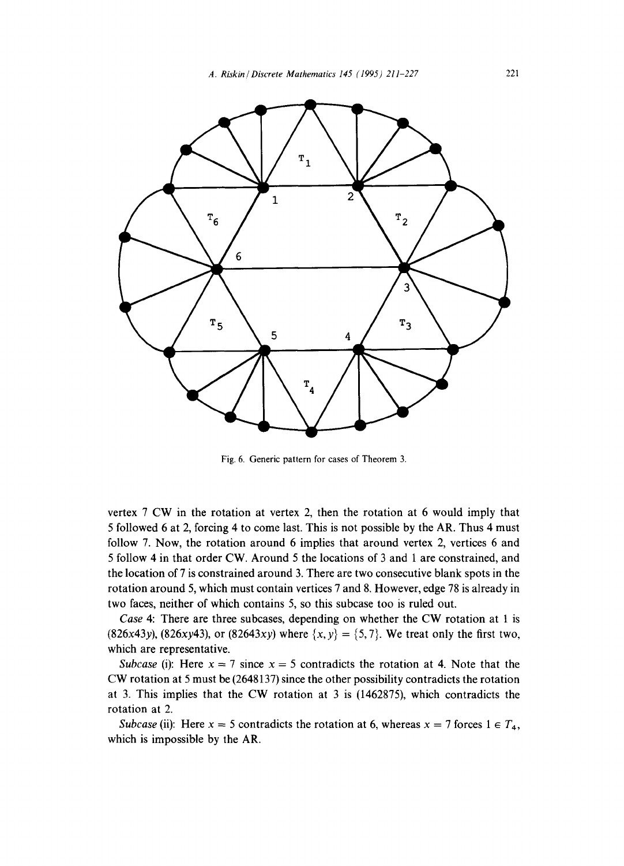

Fig. 6. Generic pattern for cases of Theorem 3.

vertex 7 CW in the rotation at vertex 2, then the rotation at 6 would imply that 5 followed 6 at 2, forcing 4 to come last. This is not possible by the AR. Thus 4 must follow 7. Now, the rotation around 6 implies that around vertex 2, vertices 6 and 5 follow 4 in that order CW. Around 5 the locations of 3 and 1 are constrained, and the location of 7 is constrained around 3. There are two consecutive blank spots in the rotation around 5, which must contain vertices 7 and 8. However, edge 78 is already in two faces, neither of which contains 5, so this subcase too is ruled out.

*Case* 4: There are three subcases, depending on whether the CW rotation at 1 is (826x43y), (826xy43), or (82643xy) where  $\{x, y\} = \{5, 7\}$ . We treat only the first two, which are representative.

*Subcase* (i): Here  $x = 7$  since  $x = 5$  contradicts the rotation at 4. Note that the CW rotation at 5 must be (2648137) since the other possibility contradicts the rotation at 3. This implies that the CW rotation at 3 is (1462875), which contradicts the rotation at 2.

*Subcase* (ii): Here  $x = 5$  contradicts the rotation at 6, whereas  $x = 7$  forces  $1 \in T_4$ , which is impossible by the AR.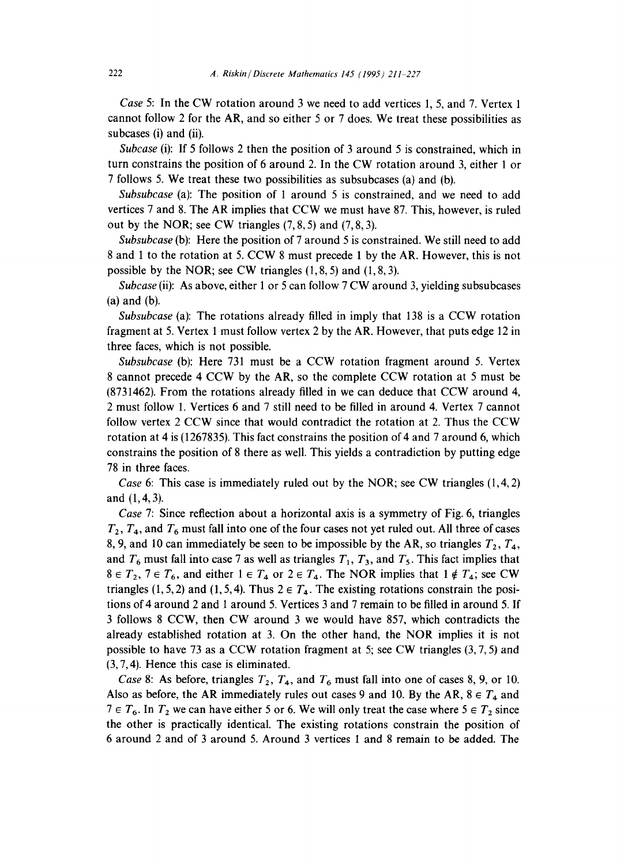*Case* 5: In the CW rotation around 3 we need to add vertices 1, 5, and 7. Vertex 1 cannot follow 2 for the AR, and so either 5 or 7 does. We treat these possibilities as subcases (i) and (ii).

*Subcase* (i): If 5 follows 2 then the position of 3 around 5 is constrained, which in turn constrains the position of 6 around 2. In the CW rotation around 3, either 1 or 7 follows 5. We treat these two possibilities as subsubcases (a) and (b).

*Subsubcase* (a): The position of 1 around 5 is constrained, and we need to add vertices 7 and 8. The AR implies that CCW we must have 87. This, however, is ruled out by the NOR; see CW triangles  $(7, 8, 5)$  and  $(7, 8, 3)$ .

*Subsubcase* (b): Here the position of 7 around 5 is constrained. We still need to add 8 and 1 to the rotation at 5. CCW 8 must precede 1 by the AR. However, this is not possible by the NOR; see CW triangles (1, 8, 5) and (1, 8, 3).

*Subcase* (ii): As above, either 1 or 5 can follow 7 CW around 3, yielding subsubcases (a) and (b).

*Subsubcase* (a): The rotations already filled in imply that 138 is a CCW rotation fragment at 5. Vertex 1 must follow vertex 2 by the AR. However, that puts edge 12 in three faces, which is not possible.

*Subsubcase* (b): Here 731 must be a CCW rotation fragment around 5. Vertex 8 cannot precede 4 CCW by the AR, so the complete CCW rotation at 5 must be (8731462). From the rotations already filled in we can deduce that CCW around 4, 2 must follow 1. Vertices 6 and 7 still need to be filled in around 4. Vertex 7 cannot follow vertex 2 CCW since that would contradict the rotation at 2. Thus the CCW rotation at 4 is (1267835). This fact constrains the position of 4 and 7 around 6, which constrains the position of 8 there as well. This yields a contradiction by putting edge 78 in three faces.

*Case* 6: This case is immediately ruled out by the NOR; see CW triangles (1,4, 2) and (1,4, 3).

*Case* 7: Since reflection about a horizontal axis is a symmetry of Fig. 6, triangles  $T_2$ ,  $T_4$ , and  $T_6$  must fall into one of the four cases not yet ruled out. All three of cases 8, 9, and 10 can immediately be seen to be impossible by the AR, so triangles  $T_2$ ,  $T_4$ , and  $T_6$  must fall into case 7 as well as triangles  $T_1$ ,  $T_3$ , and  $T_5$ . This fact implies that  $8 \in T_2$ ,  $7 \in T_6$ , and either  $1 \in T_4$  or  $2 \in T_4$ . The NOR implies that  $1 \notin T_4$ ; see CW triangles (1, 5, 2) and (1, 5, 4). Thus  $2 \in T_4$ . The existing rotations constrain the positions of 4 around 2 and ! around 5. Vertices 3 and 7 remain to be filled in around 5. If 3 follows 8 CCW, then CW around 3 we would have 857, which contradicts the already established rotation at 3. On the other hand, the NOR implies it is not possible to have 73 as a CCW rotation fragment at 5; see CW triangles  $(3, 7, 5)$  and (3, 7, 4). Hence this case is eliminated.

*Case 8*: As before, triangles  $T_2$ ,  $T_4$ , and  $T_6$  must fall into one of cases 8, 9, or 10. Also as before, the AR immediately rules out cases 9 and 10. By the AR,  $8 \in T_4$  and  $7 \in T_6$ . In  $T_2$  we can have either 5 or 6. We will only treat the case where  $5 \in T_2$  since the other is practically identical. The existing rotations constrain the position of 6 around 2 and of 3 around 5. Around 3 vertices 1 and 8 remain to be added. The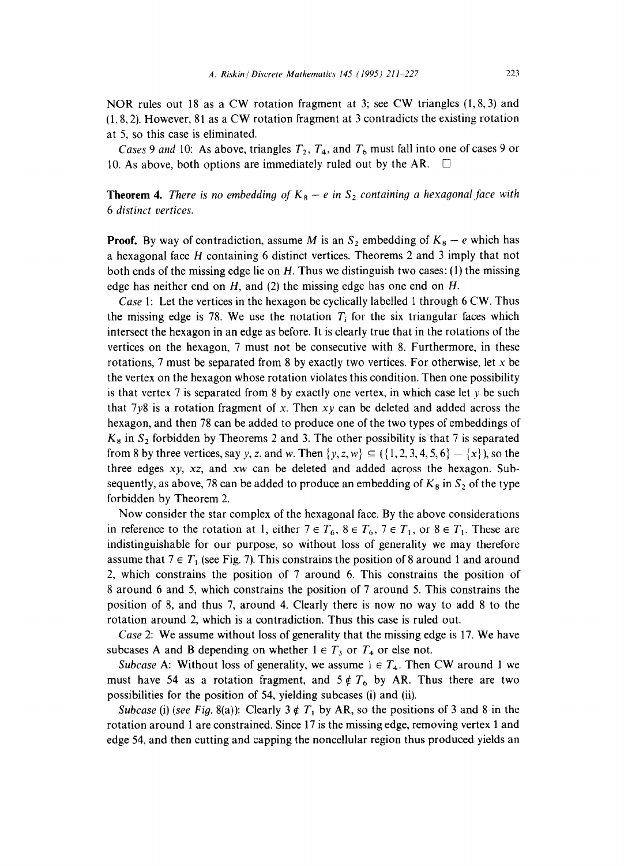NOR rules out 18 as a CW rotation fragment at 3; see CW triangles (1,8, 3) and (1,8, 2). However, 81 as a CW rotation fragment at 3 contradicts the existing rotation at 5, so this case is eliminated.

*Cases* 9 and 10: As above, triangles  $T_2$ ,  $T_4$ , and  $T_6$  must fall into one of cases 9 or 10. As above, both options are immediately ruled out by the AR.  $\Box$ 

**Theorem 4.** *There is no embedding of*  $K_8 - e$  *in*  $S_2$  *containing a hexagonal face with 6 distinct vertices.* 

**Proof.** By way of contradiction, assume M is an  $S_2$  embedding of  $K_8 - e$  which has a hexagonal face H containing 6 distinct vertices. Theorems 2 and 3 imply that not both ends of the missing edge lie on  $H$ . Thus we distinguish two cases: (1) the missing edge has neither end on  $H$ , and (2) the missing edge has one end on  $H$ .

*Case* 1: Let the vertices in the hexagon be cyclically labelled 1 through 6 CW. Thus the missing edge is 78. We use the notation  $T_i$  for the six triangular faces which intersect the hexagon in an edge as before. It is clearly true that in the rotations of the vertices on the hexagon, 7 must not be consecutive with 8. Furthermore, in these rotations, 7 must be separated from 8 by exactly two vertices. For otherwise, let x be the vertex on the hexagon whose rotation violates this condition. Then one possibility is that vertex 7 is separated from 8 by exactly one vertex, in which case let  $y$  be such that  $7y8$  is a rotation fragment of x. Then  $xy$  can be deleted and added across the hexagon, and then 78 can be added to produce one of the two types of embeddings of  $K_8$  in  $S_2$  forbidden by Theorems 2 and 3. The other possibility is that 7 is separated from 8 by three vertices, say y, z, and w. Then  $\{y, z, w\} \subseteq (\{1, 2, 3, 4, 5, 6\} - \{x\})$ , so the three edges *xy, xz,* and xw can be deleted and added across the hexagon. Subsequently, as above, 78 can be added to produce an embedding of  $K_8$  in  $S_2$  of the type forbidden by Theorem 2.

Now consider the star complex of the hexagonal face. By the above considerations in reference to the rotation at 1, either  $7 \in T_6$ ,  $8 \in T_6$ ,  $7 \in T_1$ , or  $8 \in T_1$ . These are indistinguishable for our purpose, so without loss of generality we may therefore assume that  $7 \in T_1$  (see Fig. 7). This constrains the position of 8 around 1 and around 2, which constrains the position of 7 around 6. This constrains the position of 8 around 6 and 5, which constrains the position of 7 around 5. This constrains the position of 8, and thus 7, around 4. Clearly there is now no way to add 8 to the rotation around 2, which is a contradiction. Thus this case is ruled out.

*Case* 2: We assume without loss of generality that the missing edge is 17. We have subcases A and B depending on whether  $1 \in T_3$  or  $T_4$  or else not.

*Subcase* A: Without loss of generality, we assume  $1 \in T_4$ . Then CW around 1 we must have 54 as a rotation fragment, and  $5 \notin T_6$  by AR. Thus there are two possibilities for the position of 54, yielding subcases (i) and (ii).

*Subcase* (i) *(see Fig. 8(a))*: Clearly  $3 \notin T_1$  by AR, so the positions of 3 and 8 in the rotation around 1 are constrained. Since 17 is the missing edge, removing vertex 1 and edge 54, and then cutting and capping the noncellular region thus produced yields an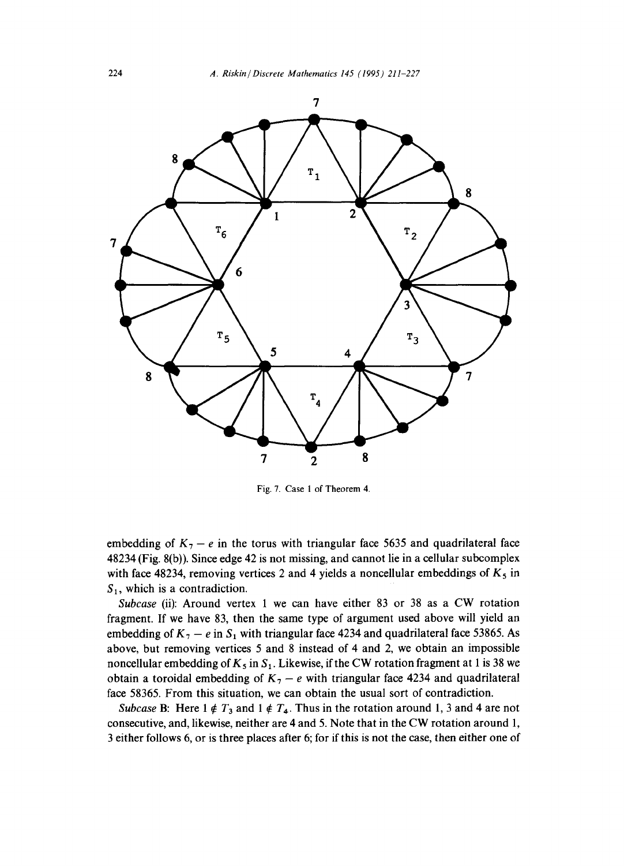

Fig. 7. Case 1 of Theorem 4.

embedding of  $K_7 - e$  in the torus with triangular face 5635 and quadrilateral face 48234 (Fig. 8(b)). Since edge 42 is not missing, and cannot lie in a cellular subcomplex with face 48234, removing vertices 2 and 4 yields a noncellular embeddings of  $K_5$  in  $S_1$ , which is a contradiction.

*Subcase* (ii): Around vertex 1 we can have either 83 or 38 as a CW rotation fragment. If we have 83, then the same type of argument used above will yield an embedding of  $K_7 - e$  in  $S_1$  with triangular face 4234 and quadrilateral face 53865. As above, but removing vertices 5 and 8 instead of 4 and 2, we obtain an impossible noncellular embedding of  $K_5$  in  $S_1$ . Likewise, if the CW rotation fragment at 1 is 38 we obtain a toroidal embedding of  $K<sub>7</sub> - e$  with triangular face 4234 and quadrilateral face 58365. From this situation, we can obtain the usual sort of contradiction.

*Subcase* B: Here  $1 \notin T_3$  and  $1 \notin T_4$ . Thus in the rotation around 1, 3 and 4 are not consecutive, and, likewise, neither are 4 and 5. Note that in the CW rotation around 1, 3 either follows 6, or is three places after 6; for if this is not the case, then either one of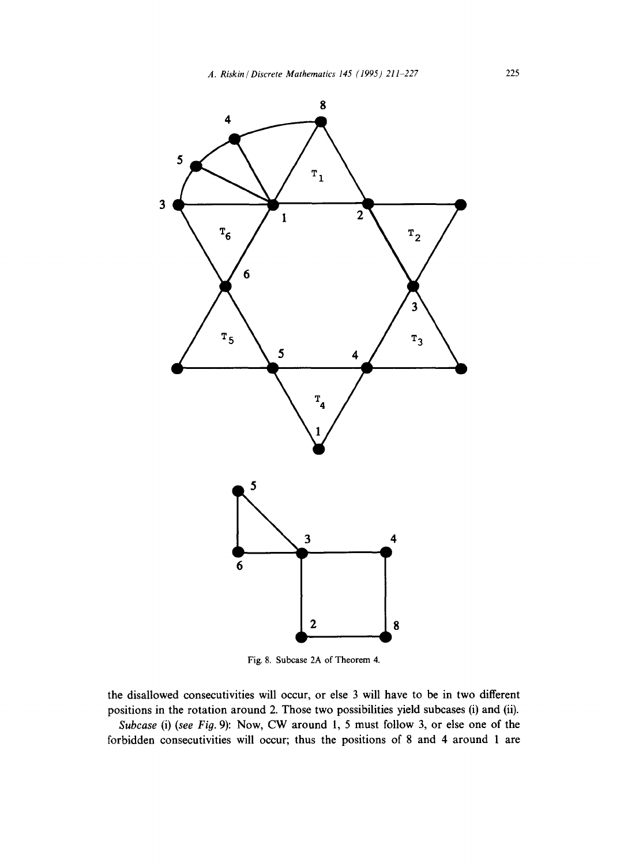

Fig. 8. Subcase 2A of Theorem 4.

the disallowed consecutivities will occur, or else 3 will have to be in two different positions in the rotation around 2. Those two possibilities yield subcases (i) and (ii).

*Subcase* (i) *(see Fig.* 9): Now, CW around 1, 5 must follow 3, or else one of the forbidden consecutivities will occur; thus the positions of 8 and 4 around 1 are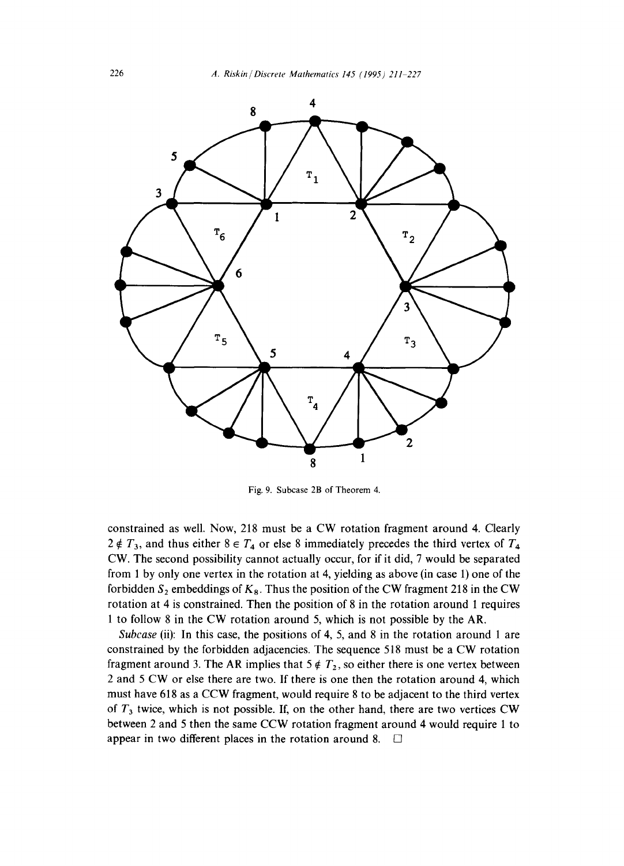

Fig. 9. Subcase 2B of Theorem 4.

constrained as well. Now, 218 must be a CW rotation fragment around 4. Clearly  $2 \notin T_3$ , and thus either  $8 \in T_4$  or else 8 immediately precedes the third vertex of  $T_4$ CW. The second possibility cannot actually occur, for if it did, 7 would be separated from 1 by only one vertex in the rotation at 4, yielding as above (in case 1) one of the forbidden  $S_2$  embeddings of  $K_8$ . Thus the position of the CW fragment 218 in the CW rotation at 4 is constrained. Then the position of 8 in the rotation around 1 requires 1 to follow 8 in the CW rotation around 5, which is not possible by the AR.

*Subcase* (ii): In this case, the positions of 4, 5, and 8 in the rotation around 1 are constrained by the forbidden adjacencies. The sequence 518 must be a CW rotation fragment around 3. The AR implies that  $5 \notin T_2$ , so either there is one vertex between 2 and 5 CW or else there are two. If there is one then the rotation around 4, which must have 618 as a CCW fragment, would require 8 to be adjacent to the third vertex of  $T_3$  twice, which is not possible. If, on the other hand, there are two vertices CW between 2 and 5 then the same CCW rotation fragment around 4 would require 1 to appear in two different places in the rotation around 8.  $\Box$